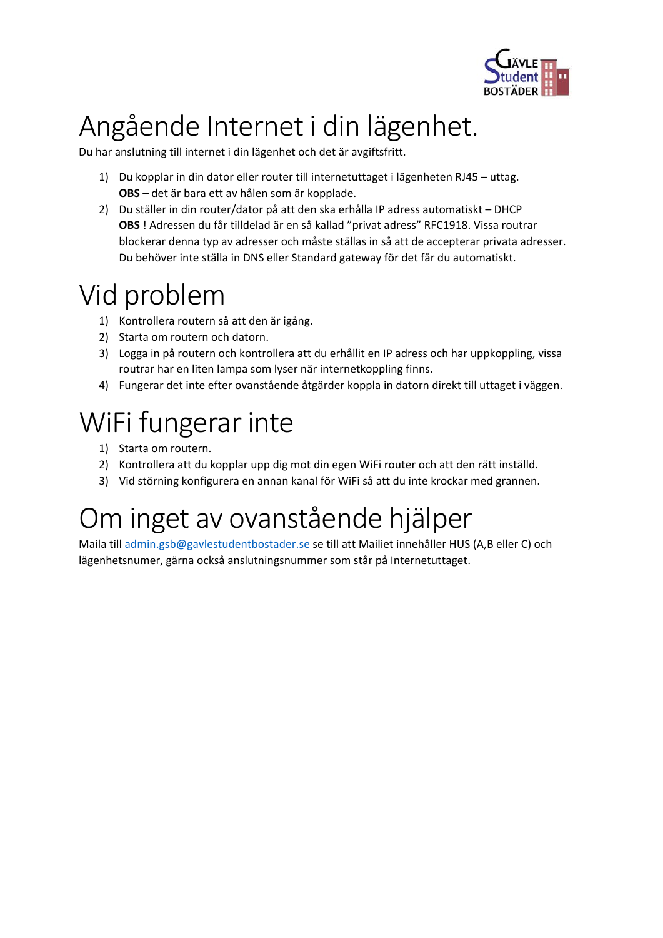

## Angående Internet i din lägenhet.

Du har anslutning till internet i din lägenhet och det är avgiftsfritt.

- 1) Du kopplar in din dator eller router till internetuttaget i lägenheten RJ45 uttag. **OBS** – det är bara ett av hålen som är kopplade.
- 2) Du ställer in din router/dator på att den ska erhålla IP adress automatiskt DHCP **OBS** ! Adressen du får tilldelad är en så kallad "privat adress" RFC1918. Vissa routrar blockerar denna typ av adresser och måste ställas in så att de accepterar privata adresser. Du behöver inte ställa in DNS eller Standard gateway för det får du automatiskt.

#### Vid problem

- 1) Kontrollera routern så att den är igång.
- 2) Starta om routern och datorn.
- 3) Logga in på routern och kontrollera att du erhållit en IP adress och har uppkoppling, vissa routrar har en liten lampa som lyser när internetkoppling finns.
- 4) Fungerar det inte efter ovanstående åtgärder koppla in datorn direkt till uttaget i väggen.

# WiFi fungerar inte

- 1) Starta om routern.
- 2) Kontrollera att du kopplar upp dig mot din egen WiFi router och att den rätt inställd.
- 3) Vid störning konfigurera en annan kanal för WiFi så att du inte krockar med grannen.

### Om inget av ovanstående hjälper

Maila till admin.gsb@gavlestudentbostader.se se till att Mailiet innehåller HUS (A,B eller C) och lägenhetsnumer, gärna också anslutningsnummer som står på Internetuttaget.